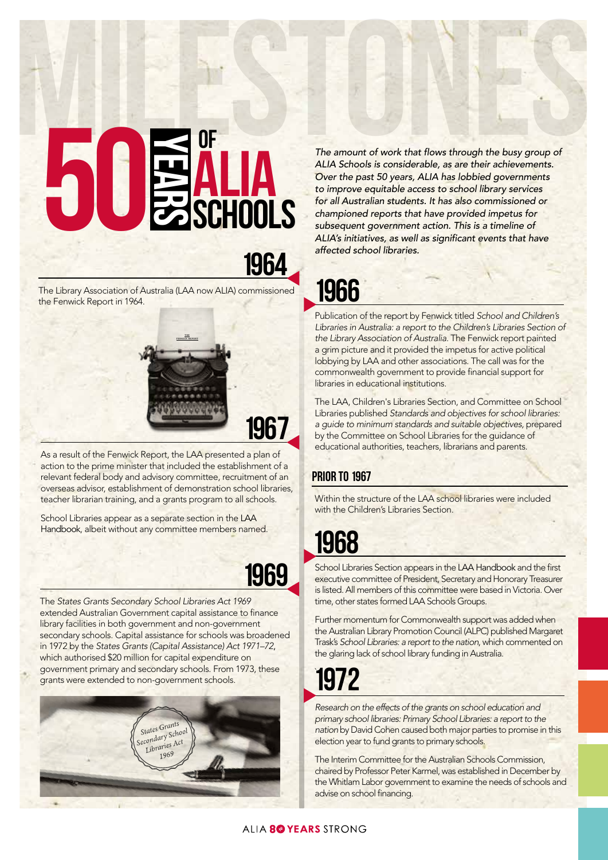# ALIA SCHOOLS MILESTONES of ALIA **SCHOOLS** years 50

1964

The Library Association of Australia (LAA now ALIA) commissioned the Fenwick Report in 1964.



As a result of the Fenwick Report, the LAA presented a plan of action to the prime minister that included the establishment of a relevant federal body and advisory committee, recruitment of an overseas advisor, establishment of demonstration school libraries, teacher librarian training, and a grants program to all schools.

School Libraries appear as a separate section in the LAA Handbook, albeit without any committee members named.

### 1969

The *States Grants Secondary School Libraries Act 1969*  extended Australian Government capital assistance to finance library facilities in both government and non-government secondary schools. Capital assistance for schools was broadened in 1972 by the *States Grants (Capital Assistance) Act 1971–72*, which authorised \$20 million for capital expenditure on government primary and secondary schools. From 1973, these grants were extended to non-government schools.



The amount of work that flows through the busy group of *ALIA Schools is considerable, as are their achievements. Over the past 50 years, ALIA has lobbied governments to improve equitable access to school library services for all Australian students. It has also commissioned or championed reports that have provided impetus for subsequent government action. This is a timeline of*  ALIA's initiatives, as well as significant events that have *affected school libraries.*

## 1966

Publication of the report by Fenwick titled *School and Children's*  Libraries in Australia: a report to the Children's Libraries Section of *the Library Association of Australia*. The Fenwick report painted a grim picture and it provided the impetus for active political lobbying by LAA and other associations. The call was for the commonwealth government to provide financial support for libraries in educational institutions.

The LAA, Children's Libraries Section, and Committee on School Libraries published *Standards and objectives for school libraries: a guide to minimum standards and suitable objectives,* prepared by the Committee on School Libraries for the guidance of educational authorities, teachers, librarians and parents.

#### **PRIOR TO 1967**

Within the structure of the LAA school libraries were included with the Children's Libraries Section.

# 1968

School Libraries Section appears in the LAA Handbook and the first executive committee of President, Secretary and Honorary Treasurer is listed. All members of this committee were based in Victoria. Over time, other states formed LAA Schools Groups.

Further momentum for Commonwealth support was added when the Australian Library Promotion Council (ALPC) published Margaret Trask's *School Libraries: a report to the nation*, which commented on the glaring lack of school library funding in Australia.

#### ` 1972

*Research on the effects of the grants on school education and primary school libraries: Primary School Libraries: a report to the nation* by David Cohen caused both major parties to promise in this election year to fund grants to primary schools.

The Interim Committee for the Australian Schools Commission, chaired by Professor Peter Karmel, was established in December by the Whitlam Labor government to examine the needs of schools and advise on school financing.

#### ALIA 8<sup>0</sup> YEARS STRONG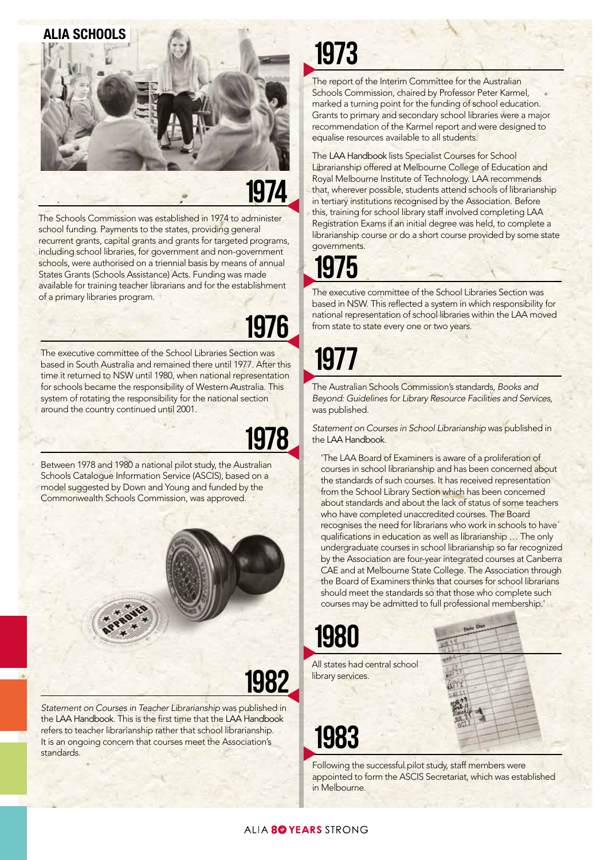# ALIA SCHOOLS

# 1974

The Schools Commission was established in 1974 to administer school funding. Payments to the states, providing general recurrent grants, capital grants and grants for targeted programs, including school libraries, for government and non-government schools, were authorised on a triennial basis by means of annual States Grants (Schools Assistance) Acts. Funding was made available for training teacher librarians and for the establishment of a primary libraries program.

# 1976

The executive committee of the School Libraries Section was based in South Australia and remained there until 1977. After this time it returned to NSW until 1980, when national representation for schools became the responsibility of Western Australia. This system of rotating the responsibility for the national section around the country continued until 2001.

## 1978

Between 1978 and 1980 a national pilot study, the Australian Schools Catalogue Information Service (ASCIS), based on a model suggested by Down and Young and funded by the Commonwealth Schools Commission, was approved.



*Statement on Courses in Teacher Librarianship* was published in the LAA Handbook. This is the first time that the LAA Handbook refers to teacher librarianship rather that school librarianship. It is an ongoing concern that courses meet the Association's standards.

# 1973

The report of the Interim Committee for the Australian Schools Commission, chaired by Professor Peter Karmel, marked a turning point for the funding of school education. Grants to primary and secondary school libraries were a major recommendation of the Karmel report and were designed to equalise resources available to all students.

The LAA Handbook lists Specialist Courses for School Librarianship offered at Melbourne College of Education and Royal Melbourne Institute of Technology. LAA recommends that, wherever possible, students attend schools of librarianship in tertiary institutions recognised by the Association. Before this, training for school library staff involved completing LAA Registration Exams if an initial degree was held, to complete a librarianship course or do a short course provided by some state governments.

# 1975

The executive committee of the School Libraries Section was based in NSW. This reflected a system in which responsibility for national representation of school libraries within the LAA moved from state to state every one or two years.

# 1977

The Australian Schools Commission's standards, *Books and Beyond: Guidelines for Library Resource Facilities and Services*, was published.

*Statement on Courses in School Librarianship* was published in the LAA Handbook*.*

'The LAA Board of Examiners is aware of a proliferation of courses in school librarianship and has been concerned about the standards of such courses. It has received representation from the School Library Section which has been concerned about standards and about the lack of status of some teachers who have completed unaccredited courses. The Board recognises the need for librarians who work in schools to have qualifications in education as well as librarianship … The only undergraduate courses in school librarianship so far recognized by the Association are four-year integrated courses at Canberra CAE and at Melbourne State College. The Association through the Board of Examiners thinks that courses for school librarians should meet the standards so that those who complete such courses may be admitted to full professional membership.'

#### All states had central school library services.

# 1983

1980

Following the successful pilot study, staff members were appointed to form the ASCIS Secretariat, which was established in Melbourne.

#### ALIA 8<sup>0</sup> YEARS STRONG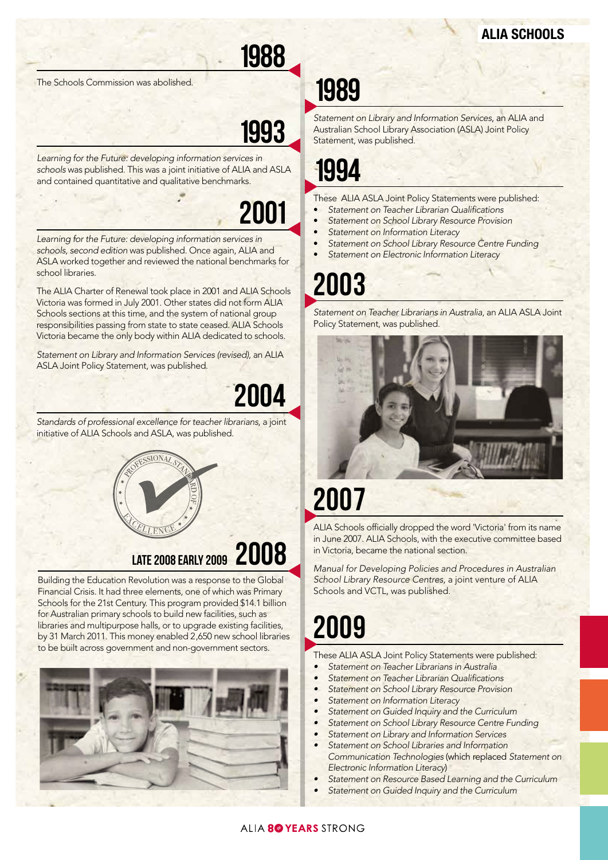# 1988

The Schools Commission was abolished.

## 1993

Learning for the Future: developing information services in *schools* was published. This was a joint initiative of ALIA and ASLA and contained quantitative and qualitative benchmarks.

# 2001

Learning for the Future: developing information services in *schools, second edition* was published. Once again, ALIA and ASLA worked together and reviewed the national benchmarks for school libraries.

The ALIA Charter of Renewal took place in 2001 and ALIA Schools Victoria was formed in July 2001. Other states did not form ALIA Schools sections at this time, and the system of national group responsibilities passing from state to state ceased. ALIA Schools Victoria became the only body within ALIA dedicated to schools.

*Statement on Library and Information Services (revised)*, an ALIA ASLA Joint Policy Statement, was published.

2004

*Standards of professional excellence for teacher librarians*, a joint initiative of ALIA Schools and ASLA, was published.



## LATE 2008 EARLY 2009 2008

Building the Education Revolution was a response to the Global Financial Crisis. It had three elements, one of which was Primary Schools for the 21st Century. This program provided \$14.1 billion for Australian primary schools to build new facilities, such as libraries and multipurpose halls, or to upgrade existing facilities, by 31 March 2011. This money enabled 2,650 new school libraries to be built across government and non-government sectors.



# 1989

*Statement on Library and Information Services*, an ALIA and Australian School Library Association (ASLA) Joint Policy Statement, was published.

## 1994

These ALIA ASLA Joint Policy Statements were published:

- Statement on Teacher Librarian Qualifications
- *Statement on School Library Resource Provision*
- *Statement on Information Literacy*
- *Statement on School Library Resource Centre Funding*
- *Statement on Electronic Information Literacy*

# 2003

*Statement on Teacher Librarians in Australia*, an ALIA ASLA Joint Policy Statement, was published.



# 2007

ALIA Schools officially dropped the word 'Victoria' from its name in June 2007. ALIA Schools, with the executive committee based in Victoria, became the national section.

*Manual for Developing Policies and Procedures in Australian School Library Resource Centres*, a joint venture of ALIA Schools and VCTL, was published.

# 2009

These ALIA ASLA Joint Policy Statements were published:

- *• Statement on Teacher Librarians in Australia*
- Statement on Teacher Librarian Qualifications
- *• Statement on School Library Resource Provision*
- *• Statement on Information Literacy*
- *• Statement on Guided Inquiry and the Curriculum*
- *• Statement on School Library Resource Centre Funding*
- *• Statement on Library and Information Services*
- *• Statement on School Libraries and Information Communication Technologies* (which replaced *Statement on Electronic Information Literacy*)
- *• Statement on Resource Based Learning and the Curriculum*
- *• Statement on Guided Inquiry and the Curriculum*